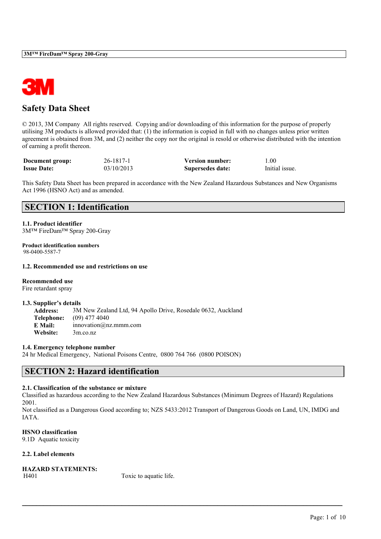

## **Safety Data Sheet**

© 2013, 3M Company All rights reserved. Copying and/or downloading of this information for the purpose of properly utilising 3M products is allowed provided that: (1) the information is copied in full with no changes unless prior written agreement is obtained from 3M, and (2) neither the copy nor the original is resold or otherwise distributed with the intention of earning a profit thereon.

| Document group:    | 26-1817-1  | <b>Version number:</b> | $1.00\,$       |
|--------------------|------------|------------------------|----------------|
| <b>Issue Date:</b> | 03/10/2013 | Supersedes date:       | Initial issue. |

This Safety Data Sheet has been prepared in accordance with the New Zealand Hazardous Substances and New Organisms Act 1996 (HSNO Act) and as amended.

## **SECTION 1: Identification**

**1.1. Product identifier** 3M™ FireDam™ Spray 200-Gray

**Product identification numbers** 98-0400-5587-7

#### **1.2. Recommended use and restrictions on use**

**Recommended use** Fire retardant spray

#### **1.3. Supplier's details**

**Address:** 3M New Zealand Ltd, 94 Apollo Drive, Rosedale 0632, Auckland **Telephone:** (09) 477 4040 **E Mail:** innovation@nz.mmm.com **Website:** 3m.co.nz

#### **1.4. Emergency telephone number**

24 hr Medical Emergency, National Poisons Centre, 0800 764 766 (0800 POISON)

## **SECTION 2: Hazard identification**

## **2.1. Classification of the substance or mixture**

Classified as hazardous according to the New Zealand Hazardous Substances (Minimum Degrees of Hazard) Regulations 2001.

Not classified as a Dangerous Good according to; NZS 5433:2012 Transport of Dangerous Goods on Land, UN, IMDG and IATA.

 $\mathcal{L}_\mathcal{L} = \mathcal{L}_\mathcal{L} = \mathcal{L}_\mathcal{L} = \mathcal{L}_\mathcal{L} = \mathcal{L}_\mathcal{L} = \mathcal{L}_\mathcal{L} = \mathcal{L}_\mathcal{L} = \mathcal{L}_\mathcal{L} = \mathcal{L}_\mathcal{L} = \mathcal{L}_\mathcal{L} = \mathcal{L}_\mathcal{L} = \mathcal{L}_\mathcal{L} = \mathcal{L}_\mathcal{L} = \mathcal{L}_\mathcal{L} = \mathcal{L}_\mathcal{L} = \mathcal{L}_\mathcal{L} = \mathcal{L}_\mathcal{L}$ 

**HSNO classification** 9.1D Aquatic toxicity

## **2.2. Label elements**

**HAZARD STATEMENTS:** H401 Toxic to aquatic life.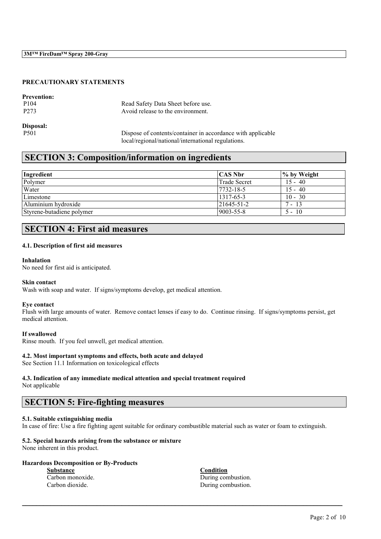## **PRECAUTIONARY STATEMENTS**

| <b>Prevention:</b> |                                                             |
|--------------------|-------------------------------------------------------------|
| P <sub>104</sub>   | Read Safety Data Sheet before use.                          |
| P <sub>273</sub>   | Avoid release to the environment.                           |
| Disposal:          |                                                             |
| P <sub>501</sub>   | Dispose of contents/container in accordance with applicable |
|                    | local/regional/national/international regulations.          |

## **SECTION 3: Composition/information on ingredients**

| Ingredient                | <b>CAS Nbr</b>    | $\frac{1}{2}$ by Weight |
|---------------------------|-------------------|-------------------------|
| Polymer                   | Trade Secret      | $15 - 40$               |
| Water                     | 7732-18-5         | $15 - 40$               |
| Limestone                 | 1317-65-3         | $10 - 30$               |
| Aluminium hydroxide       | $21645 - 51 - 2$  | $7 - 13$                |
| Styrene-butadiene polymer | $ 9003 - 55 - 8 $ | $5 - 10$                |

## **SECTION 4: First aid measures**

#### **4.1. Description of first aid measures**

#### **Inhalation**

No need for first aid is anticipated.

#### **Skin contact**

Wash with soap and water. If signs/symptoms develop, get medical attention.

#### **Eye contact**

Flush with large amounts of water. Remove contact lenses if easy to do. Continue rinsing. If signs/symptoms persist, get medical attention.

#### **If swallowed**

Rinse mouth. If you feel unwell, get medical attention.

#### **4.2. Most important symptoms and effects, both acute and delayed**

See Section 11.1 Information on toxicological effects

## **4.3. Indication of any immediate medical attention and special treatment required**

Not applicable

## **SECTION 5: Fire-fighting measures**

## **5.1. Suitable extinguishing media**

In case of fire: Use a fire fighting agent suitable for ordinary combustible material such as water or foam to extinguish.

 $\mathcal{L}_\mathcal{L} = \mathcal{L}_\mathcal{L} = \mathcal{L}_\mathcal{L} = \mathcal{L}_\mathcal{L} = \mathcal{L}_\mathcal{L} = \mathcal{L}_\mathcal{L} = \mathcal{L}_\mathcal{L} = \mathcal{L}_\mathcal{L} = \mathcal{L}_\mathcal{L} = \mathcal{L}_\mathcal{L} = \mathcal{L}_\mathcal{L} = \mathcal{L}_\mathcal{L} = \mathcal{L}_\mathcal{L} = \mathcal{L}_\mathcal{L} = \mathcal{L}_\mathcal{L} = \mathcal{L}_\mathcal{L} = \mathcal{L}_\mathcal{L}$ 

### **5.2. Special hazards arising from the substance or mixture**

None inherent in this product.

### **Hazardous Decomposition or By-Products**

**Substance Condition**

Carbon monoxide. During combustion. Carbon dioxide. During combustion.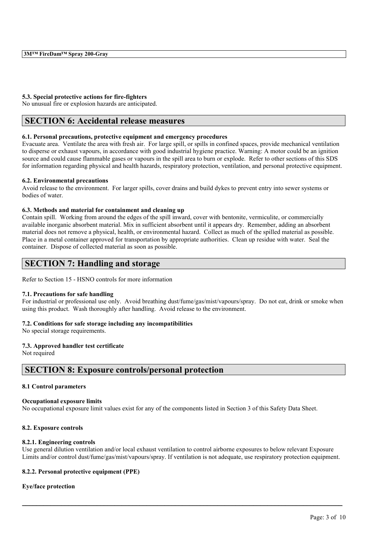### **5.3. Special protective actions for fire-fighters**

No unusual fire or explosion hazards are anticipated.

## **SECTION 6: Accidental release measures**

### **6.1. Personal precautions, protective equipment and emergency procedures**

Evacuate area. Ventilate the area with fresh air. For large spill, or spills in confined spaces, provide mechanical ventilation to disperse or exhaust vapours, in accordance with good industrial hygiene practice. Warning: A motor could be an ignition source and could cause flammable gases or vapours in the spill area to burn or explode. Refer to other sections of this SDS for information regarding physical and health hazards, respiratory protection, ventilation, and personal protective equipment.

#### **6.2. Environmental precautions**

Avoid release to the environment. For larger spills, cover drains and build dykes to prevent entry into sewer systems or bodies of water.

#### **6.3. Methods and material for containment and cleaning up**

Contain spill. Working from around the edges of the spill inward, cover with bentonite, vermiculite, or commercially available inorganic absorbent material. Mix in sufficient absorbent until it appears dry. Remember, adding an absorbent material does not remove a physical, health, or environmental hazard. Collect as much of the spilled material as possible. Place in a metal container approved for transportation by appropriate authorities. Clean up residue with water. Seal the container. Dispose of collected material as soon as possible.

## **SECTION 7: Handling and storage**

Refer to Section 15 - HSNO controls for more information

#### **7.1. Precautions for safe handling**

For industrial or professional use only. Avoid breathing dust/fume/gas/mist/vapours/spray. Do not eat, drink or smoke when using this product. Wash thoroughly after handling. Avoid release to the environment.

## **7.2. Conditions for safe storage including any incompatibilities**

No special storage requirements.

## **7.3. Approved handler test certificate**

Not required

## **SECTION 8: Exposure controls/personal protection**

#### **8.1 Control parameters**

#### **Occupational exposure limits**

No occupational exposure limit values exist for any of the components listed in Section 3 of this Safety Data Sheet.

## **8.2. Exposure controls**

#### **8.2.1. Engineering controls**

Use general dilution ventilation and/or local exhaust ventilation to control airborne exposures to below relevant Exposure Limits and/or control dust/fume/gas/mist/vapours/spray. If ventilation is not adequate, use respiratory protection equipment.

 $\mathcal{L}_\mathcal{L} = \mathcal{L}_\mathcal{L} = \mathcal{L}_\mathcal{L} = \mathcal{L}_\mathcal{L} = \mathcal{L}_\mathcal{L} = \mathcal{L}_\mathcal{L} = \mathcal{L}_\mathcal{L} = \mathcal{L}_\mathcal{L} = \mathcal{L}_\mathcal{L} = \mathcal{L}_\mathcal{L} = \mathcal{L}_\mathcal{L} = \mathcal{L}_\mathcal{L} = \mathcal{L}_\mathcal{L} = \mathcal{L}_\mathcal{L} = \mathcal{L}_\mathcal{L} = \mathcal{L}_\mathcal{L} = \mathcal{L}_\mathcal{L}$ 

## **8.2.2. Personal protective equipment (PPE)**

## **Eye/face protection**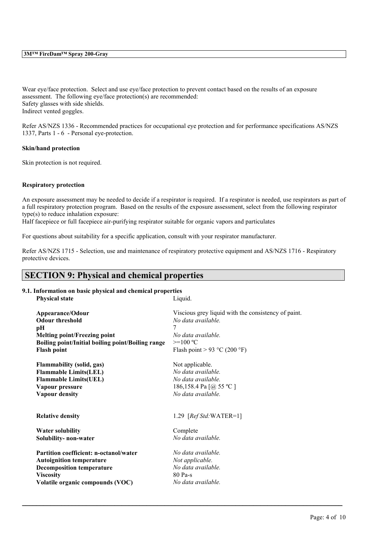Wear eye/face protection. Select and use eye/face protection to prevent contact based on the results of an exposure assessment. The following eye/face protection(s) are recommended: Safety glasses with side shields. Indirect vented goggles.

Refer AS/NZS 1336 - Recommended practices for occupational eye protection and for performance specifications AS/NZS 1337, Parts 1 - 6 - Personal eye-protection.

#### **Skin/hand protection**

Skin protection is not required.

## **Respiratory protection**

An exposure assessment may be needed to decide if a respirator is required. If a respirator is needed, use respirators as part of a full respiratory protection program. Based on the results of the exposure assessment, select from the following respirator type(s) to reduce inhalation exposure:

Half facepiece or full facepiece air-purifying respirator suitable for organic vapors and particulates

For questions about suitability for a specific application, consult with your respirator manufacturer.

Refer AS/NZS 1715 - Selection, use and maintenance of respiratory protective equipment and AS/NZS 1716 - Respiratory protective devices.

## **SECTION 9: Physical and chemical properties**

# **9.1. Information on basic physical and chemical properties**

| <b>Physical state</b>                             | Liquid.                                             |
|---------------------------------------------------|-----------------------------------------------------|
| Appearance/Odour                                  | Viscious grey liquid with the consistency of paint. |
| <b>Odour threshold</b>                            | No data available.                                  |
| pН                                                | 7                                                   |
| <b>Melting point/Freezing point</b>               | No data available.                                  |
| Boiling point/Initial boiling point/Boiling range | $>=100 °C$                                          |
| <b>Flash point</b>                                | Flash point > 93 °C (200 °F)                        |
| <b>Flammability (solid, gas)</b>                  | Not applicable.                                     |
| <b>Flammable Limits(LEL)</b>                      | No data available.                                  |
| <b>Flammable Limits(UEL)</b>                      | No data available.                                  |
| Vapour pressure                                   | 186,158.4 Pa $\lceil$ ( <i>a</i> ) 55 °C $\rceil$   |
| <b>Vapour density</b>                             | No data available.                                  |
| <b>Relative density</b>                           | 1.29 $[RefStd:WATER=1]$                             |
| <b>Water solubility</b>                           | Complete                                            |
| Solubility- non-water                             | No data available.                                  |
| Partition coefficient: n-octanol/water            | No data available.                                  |
| <b>Autoignition temperature</b>                   | Not applicable.                                     |
| <b>Decomposition temperature</b>                  | No data available.                                  |
| <b>Viscosity</b>                                  | 80 Pa-s                                             |
| Volatile organic compounds (VOC)                  | No data available.                                  |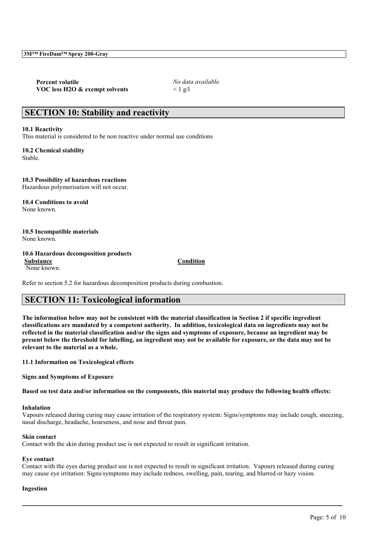**Percent volatile** *No data available.* **VOC less H2O & exempt solvents** < 1 g/l

## **SECTION 10: Stability and reactivity**

#### **10.1 Reactivity**

This material is considered to be non reactive under normal use conditions

**10.2 Chemical stability** Stable.

**10.3 Possibility of hazardous reactions** Hazardous polymerisation will not occur.

**10.4 Conditions to avoid** None known.

**10.5 Incompatible materials** None known.

#### **10.6 Hazardous decomposition products Substance Condition**

None known.

Refer to section 5.2 for hazardous decomposition products during combustion.

## **SECTION 11: Toxicological information**

**The information below may not be consistent with the material classification in Section 2 if specific ingredient classifications are mandated by a competent authority. In addition, toxicological data on ingredients may not be reflected in the material classification and/or the signs and symptoms of exposure, because an ingredient may be present below the threshold for labelling, an ingredient may not be available for exposure, or the data may not be relevant to the material as a whole.**

**11.1 Information on Toxicological effects**

**Signs and Symptoms of Exposure**

**Based on test data and/or information on the components, this material may produce the following health effects:**

#### **Inhalation**

Vapours released during curing may cause irritation of the respiratory system: Signs/symptoms may include cough, sneezing, nasal discharge, headache, hoarseness, and nose and throat pain.

## **Skin contact**

Contact with the skin during product use is not expected to result in significant irritation.

## **Eye contact**

Contact with the eyes during product use is not expected to result in significant irritation. Vapours released during curing may cause eye irritation: Signs/symptoms may include redness, swelling, pain, tearing, and blurred or hazy vision.

 $\mathcal{L}_\mathcal{L} = \mathcal{L}_\mathcal{L} = \mathcal{L}_\mathcal{L} = \mathcal{L}_\mathcal{L} = \mathcal{L}_\mathcal{L} = \mathcal{L}_\mathcal{L} = \mathcal{L}_\mathcal{L} = \mathcal{L}_\mathcal{L} = \mathcal{L}_\mathcal{L} = \mathcal{L}_\mathcal{L} = \mathcal{L}_\mathcal{L} = \mathcal{L}_\mathcal{L} = \mathcal{L}_\mathcal{L} = \mathcal{L}_\mathcal{L} = \mathcal{L}_\mathcal{L} = \mathcal{L}_\mathcal{L} = \mathcal{L}_\mathcal{L}$ 

#### **Ingestion**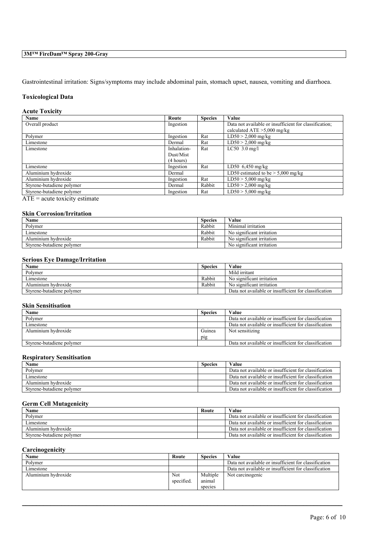## **3M™ FireDam™ Spray 200-Gray**

Gastrointestinal irritation: Signs/symptoms may include abdominal pain, stomach upset, nausea, vomiting and diarrhoea.

## **Toxicological Data**

#### **Acute Toxicity**

| Name                      | Route       | <b>Species</b> | Value                                                  |
|---------------------------|-------------|----------------|--------------------------------------------------------|
| Overall product           | Ingestion   |                | Data not available or insufficient for classification; |
|                           |             |                | calculated ATE $>5,000$ mg/kg                          |
| Polymer                   | Ingestion   | Rat            | $LD50 > 2,000$ mg/kg                                   |
| Limestone                 | Dermal      | Rat            | $LD50 > 2,000$ mg/kg                                   |
| Limestone                 | Inhalation- | Rat            | LC50 $3.0$ mg/l                                        |
|                           | Dust/Mist   |                |                                                        |
|                           | (4 hours)   |                |                                                        |
| Limestone                 | Ingestion   | Rat            | LD50 $6,450$ mg/kg                                     |
| Aluminium hydroxide       | Dermal      |                | LD50 estimated to be $> 5,000$ mg/kg                   |
| Aluminium hydroxide       | Ingestion   | Rat            | $LD50 > 5,000$ mg/kg                                   |
| Styrene-butadiene polymer | Dermal      | Rabbit         | $LD50 > 2,000$ mg/kg                                   |
| Styrene-butadiene polymer | Ingestion   | Rat            | $LD50 > 5,000$ mg/kg                                   |
| $\blacksquare$            |             |                |                                                        |

 $\overline{ATE}$  = acute toxicity estimate

## **Skin Corrosion/Irritation**

| <b>Name</b>               | <b>Species</b> | Value                     |
|---------------------------|----------------|---------------------------|
| Polymer                   | Rabbit         | Minimal irritation        |
| Limestone                 | Rabbit         | No significant irritation |
| Aluminium hydroxide       | Rabbit         | No significant irritation |
| Styrene-butadiene polymer |                | No significant irritation |

## **Serious Eye Damage/Irritation**

| Name                      | <b>Species</b> | Value                                                 |
|---------------------------|----------------|-------------------------------------------------------|
| Polymer                   |                | Mild irritant                                         |
| Limestone                 | Rabbit         | No significant irritation                             |
| Aluminium hydroxide       | Rabbit         | No significant irritation                             |
| Styrene-butadiene polymer |                | Data not available or insufficient for classification |

## **Skin Sensitisation**

| Name                      | <b>Species</b> | Value                                                 |
|---------------------------|----------------|-------------------------------------------------------|
| Polymer                   |                | Data not available or insufficient for classification |
| Limestone                 |                | Data not available or insufficient for classification |
| Aluminium hydroxide       | Guinea         | Not sensitizing                                       |
|                           | pig            |                                                       |
| Styrene-butadiene polymer |                | Data not available or insufficient for classification |

#### **Respiratory Sensitisation**

| Name                      | <b>Species</b> | Value                                                 |
|---------------------------|----------------|-------------------------------------------------------|
| Polymer                   |                | Data not available or insufficient for classification |
| Limestone                 |                | Data not available or insufficient for classification |
| Aluminium hydroxide       |                | Data not available or insufficient for classification |
| Styrene-butadiene polymer |                | Data not available or insufficient for classification |

## **Germ Cell Mutagenicity**

| Name                      | Route | Value                                                 |
|---------------------------|-------|-------------------------------------------------------|
| Polymer                   |       | Data not available or insufficient for classification |
| Limestone                 |       | Data not available or insufficient for classification |
| Aluminium hydroxide       |       | Data not available or insufficient for classification |
| Styrene-butadiene polymer |       | Data not available or insufficient for classification |

### **Carcinogenicity**

| Name                | Route      | <b>Species</b> | Value                                                 |
|---------------------|------------|----------------|-------------------------------------------------------|
| Polymer             |            |                | Data not available or insufficient for classification |
| Limestone           |            |                | Data not available or insufficient for classification |
| Aluminium hydroxide | Not        | Multiple       | Not carcinogenic                                      |
|                     | specified. | animal         |                                                       |
|                     |            | species        |                                                       |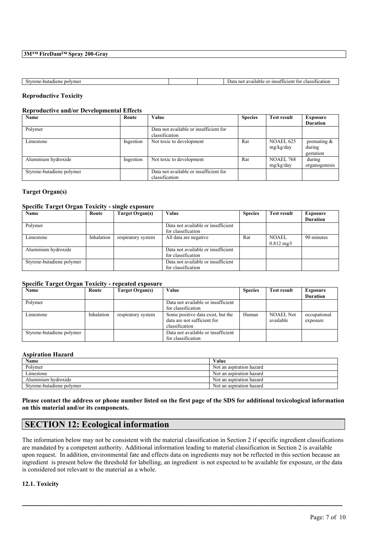## **3M™ FireDam™ Spray 200-Gray**

| : polvmei<br>e-butadiene<br>™an∟<br>ιэι<br>וו שו |  | or insufficient<br>$\sim$ $\sim$ $+$ $\sim$<br>tor<br>ssification<br>$\Delta$ lo<br>available<br>not<br>Jata<br>JIANS.<br>. a |
|--------------------------------------------------|--|-------------------------------------------------------------------------------------------------------------------------------|

## **Reproductive Toxicity**

## **Reproductive and/or Developmental Effects**

| Name                      | Route     | Value                                  | <b>Species</b> | <b>Test result</b> | Exposure        |
|---------------------------|-----------|----------------------------------------|----------------|--------------------|-----------------|
|                           |           |                                        |                |                    | <b>Duration</b> |
| Polymer                   |           | Data not available or insufficient for |                |                    |                 |
|                           |           | classification                         |                |                    |                 |
| Limestone                 | Ingestion | Not toxic to development               | Rat            | <b>NOAEL 625</b>   | premating $\&$  |
|                           |           |                                        |                | mg/kg/day          | during          |
|                           |           |                                        |                |                    | gestation       |
| Aluminium hydroxide       | Ingestion | Not toxic to development               | Rat            | <b>NOAEL 768</b>   | during          |
|                           |           |                                        |                | mg/kg/day          | organogenesis   |
| Styrene-butadiene polymer |           | Data not available or insufficient for |                |                    |                 |
|                           |           | classification                         |                |                    |                 |

## **Target Organ(s)**

### **Specific Target Organ Toxicity - single exposure**

| Name                      | Route      | Target Organ(s)    | Value                                                    | <b>Species</b> | <b>Test result</b>                   | <b>Exposure</b> |
|---------------------------|------------|--------------------|----------------------------------------------------------|----------------|--------------------------------------|-----------------|
|                           |            |                    |                                                          |                |                                      | <b>Duration</b> |
| Polymer                   |            |                    | Data not available or insufficient<br>for classification |                |                                      |                 |
| Limestone                 | Inhalation | respiratory system | All data are negative                                    | Rat            | <b>NOAEL</b><br>$0.812 \text{ mg/l}$ | 90 minutes      |
| Aluminium hydroxide       |            |                    | Data not available or insufficient<br>for classification |                |                                      |                 |
| Styrene-butadiene polymer |            |                    | Data not available or insufficient<br>for classification |                |                                      |                 |

#### **Specific Target Organ Toxicity - repeated exposure**

| <b>Name</b>               | Route      | Target Organ(s)    | Value                              |       | <b>Test result</b> | <b>Exposure</b> |
|---------------------------|------------|--------------------|------------------------------------|-------|--------------------|-----------------|
|                           |            |                    |                                    |       |                    | <b>Duration</b> |
| Polymer                   |            |                    | Data not available or insufficient |       |                    |                 |
|                           |            |                    | for classification                 |       |                    |                 |
| Limestone                 | Inhalation | respiratory system | Some positive data exist, but the  | Human | <b>NOAEL Not</b>   | occupational    |
|                           |            |                    | data are not sufficient for        |       | available          | exposure        |
|                           |            |                    | classification                     |       |                    |                 |
| Styrene-butadiene polymer |            |                    | Data not available or insufficient |       |                    |                 |
|                           |            |                    | for classification                 |       |                    |                 |

### **Aspiration Hazard**

| Name                      | Value                    |
|---------------------------|--------------------------|
| Polymer                   | Not an aspiration hazard |
| ∟ımestone                 | Not an aspiration hazard |
| Aluminium hydroxide       | Not an aspiration hazard |
| Styrene-butadiene polymer | Not an aspiration hazard |

**Please contact the address or phone number listed on the first page of the SDS for additional toxicological information on this material and/or its components.**

## **SECTION 12: Ecological information**

The information below may not be consistent with the material classification in Section 2 if specific ingredient classifications are mandated by a competent authority. Additional information leading to material classification in Section 2 is available upon request. In addition, environmental fate and effects data on ingredients may not be reflected in this section because an ingredient is present below the threshold for labelling, an ingredient is not expected to be available for exposure, or the data is considered not relevant to the material as a whole.

 $\mathcal{L}_\mathcal{L} = \mathcal{L}_\mathcal{L} = \mathcal{L}_\mathcal{L} = \mathcal{L}_\mathcal{L} = \mathcal{L}_\mathcal{L} = \mathcal{L}_\mathcal{L} = \mathcal{L}_\mathcal{L} = \mathcal{L}_\mathcal{L} = \mathcal{L}_\mathcal{L} = \mathcal{L}_\mathcal{L} = \mathcal{L}_\mathcal{L} = \mathcal{L}_\mathcal{L} = \mathcal{L}_\mathcal{L} = \mathcal{L}_\mathcal{L} = \mathcal{L}_\mathcal{L} = \mathcal{L}_\mathcal{L} = \mathcal{L}_\mathcal{L}$ 

**12.1. Toxicity**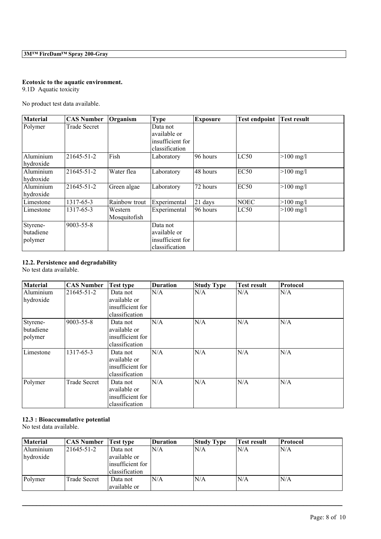## **Ecotoxic to the aquatic environment.**

9.1D Aquatic toxicity

No product test data available.

| <b>Material</b>                  | <b>CAS Number</b> | Organism                | <b>Type</b>                                                    | <b>Exposure</b> | <b>Test endpoint</b> | <b>Test result</b>  |
|----------------------------------|-------------------|-------------------------|----------------------------------------------------------------|-----------------|----------------------|---------------------|
| Polymer                          | Trade Secret      |                         | Data not<br>available or<br>insufficient for<br>classification |                 |                      |                     |
| Aluminium<br>hydroxide           | 21645-51-2        | Fish                    | Laboratory                                                     | 96 hours        | LC50                 | $>100$ mg/l         |
| Aluminium<br>hydroxide           | 21645-51-2        | Water flea              | Laboratory                                                     | 48 hours        | EC50                 | $>100 \text{ mg/l}$ |
| Aluminium<br>hydroxide           | 21645-51-2        | Green algae             | Laboratory                                                     | 72 hours        | EC50                 | $>100$ mg/l         |
| Limestone                        | 1317-65-3         | Rainbow trout           | Experimental                                                   | 21 days         | <b>NOEC</b>          | $>100 \text{ mg/l}$ |
| Limestone                        | 1317-65-3         | Western<br>Mosquitofish | Experimental                                                   | 96 hours        | LC50                 | $>100 \text{ mg/l}$ |
| Styrene-<br>butadiene<br>polymer | 9003-55-8         |                         | Data not<br>available or<br>insufficient for<br>classification |                 |                      |                     |

## **12.2. Persistence and degradability**

No test data available.

| <b>Material</b> | <b>CAS Number</b>   | <b>Test type</b> | <b>Duration</b> | <b>Study Type</b> | <b>Test result</b> | <b>Protocol</b> |
|-----------------|---------------------|------------------|-----------------|-------------------|--------------------|-----------------|
| Aluminium       | 21645-51-2          | Data not         | N/A             | N/A               | N/A                | N/A             |
| hydroxide       |                     | available or     |                 |                   |                    |                 |
|                 |                     | insufficient for |                 |                   |                    |                 |
|                 |                     | classification   |                 |                   |                    |                 |
| Styrene-        | $9003 - 55 - 8$     | Data not         | N/A             | N/A               | N/A                | N/A             |
| butadiene       |                     | available or     |                 |                   |                    |                 |
| polymer         |                     | insufficient for |                 |                   |                    |                 |
|                 |                     | classification   |                 |                   |                    |                 |
| Limestone       | 1317-65-3           | Data not         | N/A             | N/A               | N/A                | N/A             |
|                 |                     | available or     |                 |                   |                    |                 |
|                 |                     | insufficient for |                 |                   |                    |                 |
|                 |                     | classification   |                 |                   |                    |                 |
| Polymer         | <b>Trade Secret</b> | Data not         | N/A             | N/A               | N/A                | N/A             |
|                 |                     | available or     |                 |                   |                    |                 |
|                 |                     | insufficient for |                 |                   |                    |                 |
|                 |                     | classification   |                 |                   |                    |                 |

## **12.3 : Bioaccumulative potential**

No test data available.

| Material  | <b>CAS Number</b> | <b>Test type</b> | <b>Duration</b> | <b>Study Type</b> | <b>Fest result</b> | <b>Protocol</b> |
|-----------|-------------------|------------------|-----------------|-------------------|--------------------|-----------------|
| Aluminium | 21645-51-2        | Data not         | N/A             | N/A               | N/A                | N/A             |
| hydroxide |                   | available or     |                 |                   |                    |                 |
|           |                   | insufficient for |                 |                   |                    |                 |
|           |                   | classification   |                 |                   |                    |                 |
| Polymer   | Trade Secret      | Data not         | N/A             | N/A               | N/A                | N/A             |
|           |                   | available or     |                 |                   |                    |                 |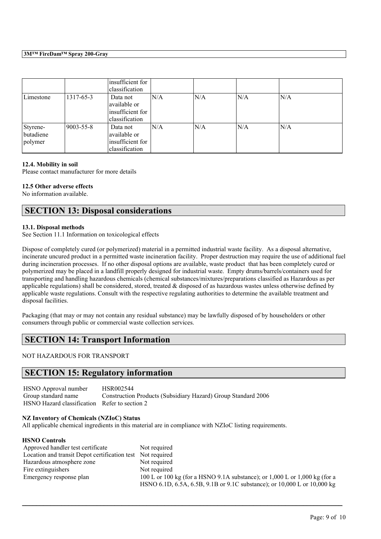### **3M™ FireDam™ Spray 200-Gray**

|                                  |                 | insufficient for<br>classification                             |     |     |     |     |  |
|----------------------------------|-----------------|----------------------------------------------------------------|-----|-----|-----|-----|--|
| Limestone                        | 1317-65-3       | Data not<br>available or<br>insufficient for<br>classification | N/A | N/A | N/A | N/A |  |
| Styrene-<br>butadiene<br>polymer | $9003 - 55 - 8$ | Data not<br>available or<br>insufficient for<br>classification | N/A | N/A | N/A | N/A |  |

#### **12.4. Mobility in soil**

Please contact manufacturer for more details

## **12.5 Other adverse effects**

No information available.

## **SECTION 13: Disposal considerations**

## **13.1. Disposal methods**

See Section 11.1 Information on toxicological effects

Dispose of completely cured (or polymerized) material in a permitted industrial waste facility. As a disposal alternative, incinerate uncured product in a permitted waste incineration facility. Proper destruction may require the use of additional fuel during incineration processes. If no other disposal options are available, waste product that has been completely cured or polymerized may be placed in a landfill properly designed for industrial waste. Empty drums/barrels/containers used for transporting and handling hazardous chemicals (chemical substances/mixtures/preparations classified as Hazardous as per applicable regulations) shall be considered, stored, treated & disposed of as hazardous wastes unless otherwise defined by applicable waste regulations. Consult with the respective regulating authorities to determine the available treatment and disposal facilities.

Packaging (that may or may not contain any residual substance) may be lawfully disposed of by householders or other consumers through public or commercial waste collection services.

## **SECTION 14: Transport Information**

NOT HAZARDOUS FOR TRANSPORT

## **SECTION 15: Regulatory information**

HSNO Approval number HSR002544<br>Group standard name Construction Construction Products (Subsidiary Hazard) Group Standard 2006 HSNO Hazard classification Refer to section 2

## **NZ Inventory of Chemicals (NZIoC) Status**

All applicable chemical ingredients in this material are in compliance with NZIoC listing requirements.

| Approved handler test certificate                          | Not required                                                                   |
|------------------------------------------------------------|--------------------------------------------------------------------------------|
| Location and transit Depot certification test Not required |                                                                                |
| Hazardous atmosphere zone                                  | Not required                                                                   |
| Fire extinguishers                                         | Not required                                                                   |
| Emergency response plan                                    | 100 L or 100 kg (for a HSNO 9.1A substance); or $1,000$ L or $1,000$ kg (for a |
|                                                            | HSNO 6.1D, 6.5A, 6.5B, 9.1B or 9.1C substance); or 10,000 L or 10,000 kg       |